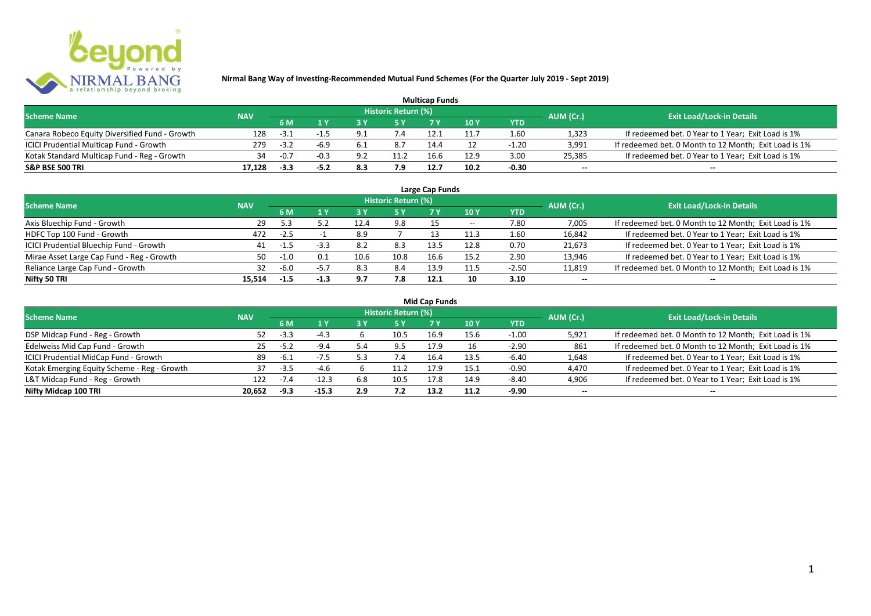

| <b>Multicap Funds</b>                          |            |        |        |     |                            |      |      |         |                          |                                                       |  |  |  |
|------------------------------------------------|------------|--------|--------|-----|----------------------------|------|------|---------|--------------------------|-------------------------------------------------------|--|--|--|
| <b>Scheme Name</b>                             | <b>NAV</b> |        |        |     | <b>Historic Return (%)</b> |      |      |         | AUM (Cr.)                | <b>Exit Load/Lock-in Details</b>                      |  |  |  |
|                                                |            | 6 M    |        |     |                            |      | 10Y  | YTD     |                          |                                                       |  |  |  |
| Canara Robeco Equity Diversified Fund - Growth | 128        | $-3.1$ |        |     | 7.4                        |      |      | 1.60    | 1,323                    | If redeemed bet. 0 Year to 1 Year; Exit Load is 1%    |  |  |  |
| ICICI Prudential Multicap Fund - Growth        | 279        | $-3.2$ | -6.9   | 6.1 | 8.7                        | 14.4 |      | $-1.20$ | 3,991                    | If redeemed bet. 0 Month to 12 Month; Exit Load is 1% |  |  |  |
| Kotak Standard Multicap Fund - Reg - Growth    | 34         | $-0.7$ | $-0.3$ | ດ າ | 11.2                       | 16.6 | 12.9 | 3.00    | 25,385                   | If redeemed bet. 0 Year to 1 Year; Exit Load is 1%    |  |  |  |
| S&P BSE 500 TRI                                | 17.128     | -3.3   |        |     | 7.9                        | 12.7 | 10.2 | $-0.30$ | $\overline{\phantom{a}}$ | $\overline{\phantom{a}}$                              |  |  |  |

| Large Cap Funds<br>Historic Return (%)    |            |        |        |      |      |      |       |            |                          |                                                       |  |  |
|-------------------------------------------|------------|--------|--------|------|------|------|-------|------------|--------------------------|-------------------------------------------------------|--|--|
| <b>Scheme Name</b>                        | <b>NAV</b> | 6 M    | 1 Y    |      | 5 Y  |      | 10Y   | <b>YTD</b> | AUM (Cr.)                | <b>Exit Load/Lock-in Details</b>                      |  |  |
| Axis Bluechip Fund - Growth               | 29         | 5.3    | 5.2    | 12.4 | 9.8  |      | $- -$ | 7.80       | 7,005                    | If redeemed bet. 0 Month to 12 Month; Exit Load is 1% |  |  |
| HDFC Top 100 Fund - Growth                | 472        | $-2.5$ |        | 8.9  |      |      | 11.3  | 1.60       | 16,842                   | If redeemed bet. 0 Year to 1 Year; Exit Load is 1%    |  |  |
| ICICI Prudential Bluechip Fund - Growth   | 41         | $-1.5$ | $-3.3$ | 8.2  | 8.3  | 13.5 | 12.8  | 0.70       | 21,673                   | If redeemed bet. 0 Year to 1 Year; Exit Load is 1%    |  |  |
| Mirae Asset Large Cap Fund - Reg - Growth | 50         | $-1.0$ | 0.1    | 10.6 | 10.8 | 16.6 | 15.2  | 2.90       | 13,946                   | If redeemed bet. 0 Year to 1 Year; Exit Load is 1%    |  |  |
| Reliance Large Cap Fund - Growth          | 32         | $-6.0$ | $-5.7$ | 8.3  | 8.4  | 13.9 |       | $-2.50$    | 11,819                   | If redeemed bet. 0 Month to 12 Month; Exit Load is 1% |  |  |
| Nifty 50 TRI                              | 15.514     | $-1.5$ | $-1.3$ | 9.7  | 7.8  | 12.1 | 10    | 3.10       | $\overline{\phantom{a}}$ | $\overline{\phantom{a}}$                              |  |  |

| <b>Mid Cap Funds</b> |
|----------------------|
|----------------------|

| <b>Scheme Name</b>                          | <b>NAV</b> |        |         |     | <b>Historic Return (%)</b> |      |      |            | AUM (Cr.)                | <b>Exit Load/Lock-in Details</b>                      |
|---------------------------------------------|------------|--------|---------|-----|----------------------------|------|------|------------|--------------------------|-------------------------------------------------------|
|                                             |            | 6 M    |         |     | 5 Y                        |      | 10 Y | <b>YTD</b> |                          |                                                       |
| DSP Midcap Fund - Reg - Growth              | 52.        | $-3.3$ | $-4.3$  |     | 10.5                       | 16.9 | 15.6 | $-1.00$    | 5,921                    | If redeemed bet. 0 Month to 12 Month; Exit Load is 1% |
| Edelweiss Mid Cap Fund - Growth             | 25         | $-5.2$ | $-9.4$  |     | 9.5                        | 17.9 |      | $-2.90$    | 861                      | If redeemed bet. 0 Month to 12 Month; Exit Load is 1% |
| ICICI Prudential MidCap Fund - Growth       | 89         | -6.1   | $-7.5$  |     | 7.4                        | 16.4 | 13.5 | $-6.40$    | 1,648                    | If redeemed bet. 0 Year to 1 Year; Exit Load is 1%    |
| Kotak Emerging Equity Scheme - Reg - Growth |            | $-3.5$ | $-4.6$  |     |                            | 17.9 |      | $-0.90$    | 4,470                    | If redeemed bet. 0 Year to 1 Year; Exit Load is 1%    |
| L&T Midcap Fund - Reg - Growth              | 122        | $-7.4$ | $-12.3$ | 6.8 | 10.5                       | 17.8 | 14.9 | $-8.40$    | 4,906                    | If redeemed bet. 0 Year to 1 Year; Exit Load is 1%    |
| Nifty Midcap 100 TRI                        | 20.652     | $-9.3$ | $-15.3$ | 2.9 | 7.2                        | 13.2 | 11.2 | $-9.90$    | $\overline{\phantom{a}}$ | $\overline{\phantom{a}}$                              |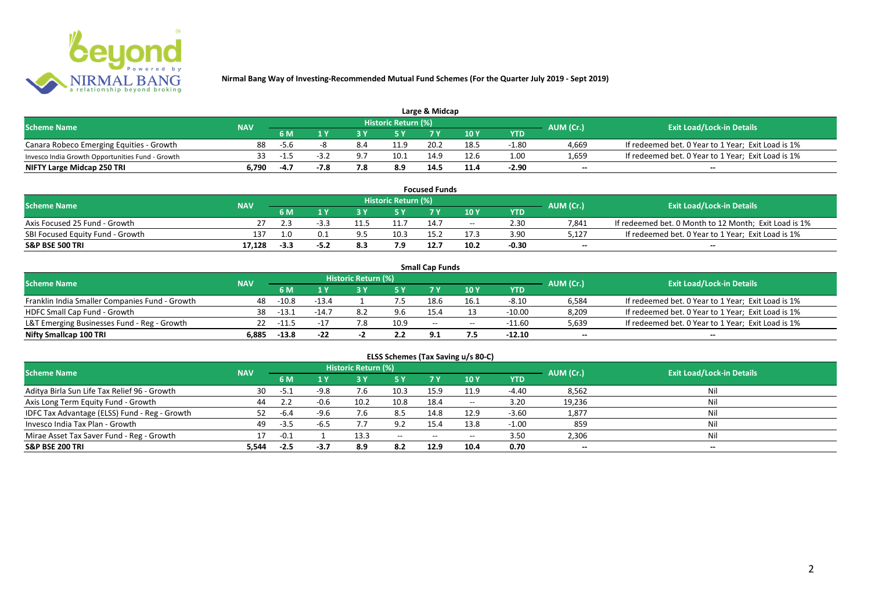

| Large & Midcap                                   |            |        |  |     |                     |      |      |         |           |                                                    |  |  |
|--------------------------------------------------|------------|--------|--|-----|---------------------|------|------|---------|-----------|----------------------------------------------------|--|--|
| <b>Scheme Name</b>                               | <b>NAV</b> |        |  |     | Historic Return (%) |      |      |         | AUM (Cr.) | <b>Exit Load/Lock-in Details</b>                   |  |  |
|                                                  |            | 6 M    |  |     |                     |      | 10Y  | YTD     |           |                                                    |  |  |
| Canara Robeco Emerging Equities - Growth         | 88         | $-5.6$ |  |     | 11.9                | 20.2 | 18.5 | $-1.80$ | 4.669     | If redeemed bet. 0 Year to 1 Year; Exit Load is 1% |  |  |
| Invesco India Growth Opportunities Fund - Growth |            | $-1.5$ |  |     | 10.1                | 14.9 | 12.6 | 1.00    | 1,659     | If redeemed bet. 0 Year to 1 Year; Exit Load is 1% |  |  |
| NIFTY Large Midcap 250 TRI                       | 0.790      | -4.7   |  | 7.8 | 8.9                 | 14.5 |      | $-2.90$ | $-$       | $- -$                                              |  |  |

| <b>Focused Funds</b>             |            |        |      |  |                     |      |       |            |           |                                                       |  |  |
|----------------------------------|------------|--------|------|--|---------------------|------|-------|------------|-----------|-------------------------------------------------------|--|--|
| <b>Scheme Name</b>               | <b>NAV</b> |        |      |  | Historic Return (%) |      |       |            | AUM (Cr.) | <b>Exit Load/Lock-in Details</b>                      |  |  |
|                                  |            | 6 M    | 1 V  |  | E V                 |      | 10 Y  | <b>YTD</b> |           |                                                       |  |  |
| Axis Focused 25 Fund - Growth    |            |        |      |  |                     | 14.7 | $- -$ | 2.30       | 7.841     | If redeemed bet. 0 Month to 12 Month; Exit Load is 1% |  |  |
| SBI Focused Equity Fund - Growth | 137        | 1.0    |      |  | 10.3                | 15.2 |       | 3.90       | 5,127     | If redeemed bet. 0 Year to 1 Year; Exit Load is 1%    |  |  |
| <b>S&amp;P BSE 500 TRI</b>       | 17.128     | $-3.3$ | -5.2 |  |                     | 12.7 | 10.2  | $-0.30$    | $- -$     | $-$                                                   |  |  |

|                                                |            |             |         |                     |      | <b>Small Cap Funds</b> |                                       |          |                          |                                                    |
|------------------------------------------------|------------|-------------|---------|---------------------|------|------------------------|---------------------------------------|----------|--------------------------|----------------------------------------------------|
| <b>Scheme Name</b>                             | <b>NAV</b> |             |         | Historic Return (%) |      |                        |                                       |          | AUM (Cr.)                | <b>Exit Load/Lock-in Details</b>                   |
|                                                |            | 6 M         |         |                     |      |                        | 10 Y                                  | YTD      |                          |                                                    |
| Franklin India Smaller Companies Fund - Growth | 48.        | $-10.8$     | $-13.4$ |                     |      | 18.6                   | 16∴                                   | $-8.10$  | 6,584                    | If redeemed bet. 0 Year to 1 Year; Exit Load is 1% |
| HDFC Small Cap Fund - Growth                   | 38         | -13.1       | $-14.7$ |                     | 9.6  | 15.4                   |                                       | $-10.00$ | 8,209                    | If redeemed bet. 0 Year to 1 Year; Exit Load is 1% |
| L&T Emerging Businesses Fund - Reg - Growth    |            | $22 - 11.5$ |         | 7.8                 | 10.9 | $-$                    | $\hspace{0.05cm}$ – $\hspace{0.05cm}$ | -11.60   | 5,639                    | If redeemed bet. 0 Year to 1 Year; Exit Load is 1% |
| Nifty Smallcap 100 TRI                         | 6.885      | $-13.8$     | $-22$   |                     | 2.2  | <b>Q</b> 1             |                                       | -12.10   | $\overline{\phantom{a}}$ | $-$                                                |

| ELSS Schemes (Tax Saving u/s 80-C)            |            |        |        |                     |                                       |           |       |            |           |                                  |  |  |  |
|-----------------------------------------------|------------|--------|--------|---------------------|---------------------------------------|-----------|-------|------------|-----------|----------------------------------|--|--|--|
| <b>Scheme Name</b>                            | <b>NAV</b> |        |        | Historic Return (%) |                                       |           |       |            | AUM (Cr.) | <b>Exit Load/Lock-in Details</b> |  |  |  |
|                                               |            | 6 M    | 1 Y    | 73 Y                | 15 Y                                  | <b>7Y</b> | 10 Y  | <b>YTD</b> |           |                                  |  |  |  |
| Aditya Birla Sun Life Tax Relief 96 - Growth  | 30         | -5.1   | $-9.8$ | 7.6                 | 10.3                                  | 15.9      | 11.9  | $-4.40$    | 8,562     | Nil                              |  |  |  |
| Axis Long Term Equity Fund - Growth           | 44         |        | $-0.6$ | 10.2                | 10.8                                  | 18.4      | $- -$ | 3.20       | 19,236    | Nil                              |  |  |  |
| IDFC Tax Advantage (ELSS) Fund - Reg - Growth | 52.        | $-6.4$ | $-9.6$ | 7.6                 | 8.5                                   | 14.8      | 12.9  | $-3.60$    | 1,877     | Nil                              |  |  |  |
| Invesco India Tax Plan - Growth               | 49         | -3.5   | $-6.5$ |                     | 9.2                                   | 15.4      | 13.8  | $-1.00$    | 859       | Nil                              |  |  |  |
| Mirae Asset Tax Saver Fund - Reg - Growth     |            | $-0.1$ |        | 13.3                | $\hspace{0.05cm}$ – $\hspace{0.05cm}$ | $- -$     | $- -$ | 3.50       | 2,306     | Nil                              |  |  |  |
| S&P BSE 200 TRI                               | 5,544      | $-2.5$ | $-3.7$ | 8.9                 | 8.2                                   | 12.9      | 10.4  | 0.70       | $\sim$    | $\overline{\phantom{a}}$         |  |  |  |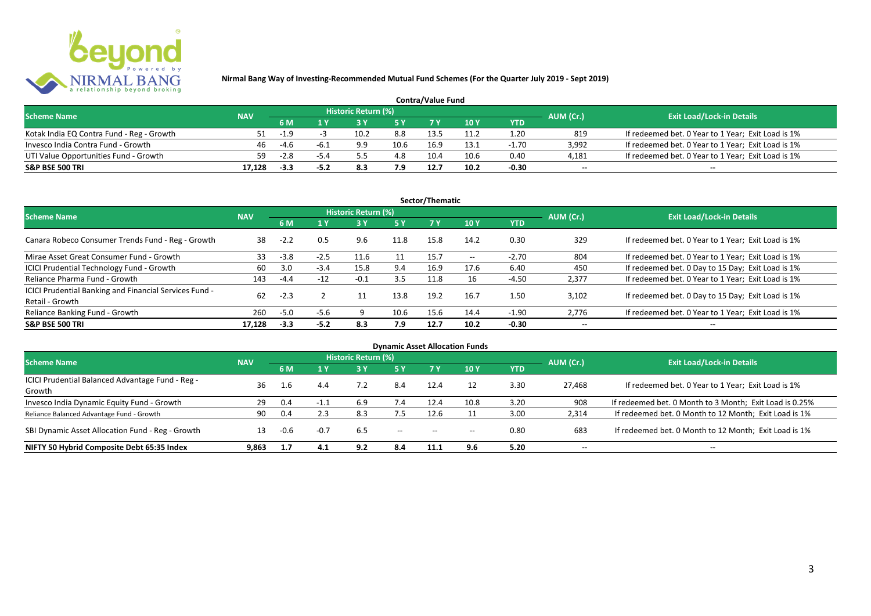

| <b>Contra/Value Fund</b>                  |            |        |      |                     |      |      |      |         |                          |                                                    |  |  |
|-------------------------------------------|------------|--------|------|---------------------|------|------|------|---------|--------------------------|----------------------------------------------------|--|--|
| <b>Scheme Name</b>                        | <b>NAV</b> |        |      | Historic Return (%) |      |      |      |         | AUM (Cr.)                | <b>Exit Load/Lock-in Details</b>                   |  |  |
|                                           |            | 6 M    |      |                     |      |      | 10 Y | YTD     |                          |                                                    |  |  |
| Kotak India EQ Contra Fund - Reg - Growth |            | $-1.9$ |      | 10.2                | 8.8  | 13.5 |      | 1.20    | 819                      | If redeemed bet. 0 Year to 1 Year; Exit Load is 1% |  |  |
| Invesco India Contra Fund - Growth        | 46         | $-4.6$ | -h.' | 9.9                 | 10.6 | 16.9 | l3.1 | $-1.70$ | 3.992                    | If redeemed bet. 0 Year to 1 Year; Exit Load is 1% |  |  |
| UTI Value Opportunities Fund - Growth     | 59.        | $-2.8$ | -54  |                     | 4.8  | 10.4 | 10.6 | 0.40    | 4,181                    | If redeemed bet. 0 Year to 1 Year; Exit Load is 1% |  |  |
| <b>S&amp;P BSE 500 TRI</b>                | 17.128     | -3.3   |      |                     | 7.9  | 12.7 | 10.2 | $-0.30$ | $\overline{\phantom{a}}$ | $\overline{\phantom{a}}$                           |  |  |

|                                                                           |            |        |                |                     |           | Sector/Thematic |                   |            |                          |                                                    |
|---------------------------------------------------------------------------|------------|--------|----------------|---------------------|-----------|-----------------|-------------------|------------|--------------------------|----------------------------------------------------|
| <b>Scheme Name</b>                                                        | <b>NAV</b> |        |                | Historic Return (%) |           |                 |                   |            | AUM (Cr.)                | <b>Exit Load/Lock-in Details</b>                   |
|                                                                           |            | 6 M    | A <sub>Y</sub> |                     | <b>5Y</b> | 7Y              | 10Y               | <b>YTD</b> |                          |                                                    |
| Canara Robeco Consumer Trends Fund - Reg - Growth                         | 38         | $-2.2$ | 0.5            | 9.6                 | 11.8      | 15.8            | 14.2              | 0.30       | 329                      | If redeemed bet. 0 Year to 1 Year; Exit Load is 1% |
| Mirae Asset Great Consumer Fund - Growth                                  | 33         | $-3.8$ | $-2.5$         | 11.6                | 11        | 15.7            | $\hspace{0.05cm}$ | $-2.70$    | 804                      | If redeemed bet. 0 Year to 1 Year; Exit Load is 1% |
| ICICI Prudential Technology Fund - Growth                                 | 60         | 3.0    | $-3.4$         | 15.8                | 9.4       | 16.9            | 17.6              | 6.40       | 450                      | If redeemed bet. 0 Day to 15 Day; Exit Load is 1%  |
| Reliance Pharma Fund - Growth                                             | 143        | $-4.4$ | $-12$          | $-0.1$              | 3.5       | 11.8            | 16                | $-4.50$    | 2,377                    | If redeemed bet. 0 Year to 1 Year; Exit Load is 1% |
| ICICI Prudential Banking and Financial Services Fund -<br>Retail - Growth | 62         | $-2.3$ |                |                     | 13.8      | 19.2            | 16.7              | 1.50       | 3.102                    | If redeemed bet. 0 Day to 15 Day; Exit Load is 1%  |
| Reliance Banking Fund - Growth                                            | 260        | $-5.0$ | $-5.6$         |                     | 10.6      | 15.6            | 14.4              | $-1.90$    | 2,776                    | If redeemed bet. 0 Year to 1 Year; Exit Load is 1% |
| <b>S&amp;P BSE 500 TRI</b>                                                | 17.128     | $-3.3$ | $-5.2$         | 8.3                 | 7.9       | 12.7            | 10.2              | $-0.30$    | $\overline{\phantom{a}}$ | $- -$                                              |

|                                                  |            |        |        |                     |                                       |           | <b>Dynamic Asset Allocation Funds</b> |            |                          |                                                         |
|--------------------------------------------------|------------|--------|--------|---------------------|---------------------------------------|-----------|---------------------------------------|------------|--------------------------|---------------------------------------------------------|
| Scheme Name                                      | <b>NAV</b> |        |        | Historic Return (%) |                                       |           |                                       |            | AUM (Cr.)                | <b>Exit Load/Lock-in Details</b>                        |
|                                                  |            | 6 M    | 1 Y    |                     | <b>5Y</b>                             | <b>7Y</b> | 10Y                                   | <b>YTD</b> |                          |                                                         |
| ICICI Prudential Balanced Advantage Fund - Reg - | 36         |        |        |                     |                                       | 12.4      |                                       |            |                          |                                                         |
| Growth                                           |            | L.6    | 4.4    | 7.2                 | 8.4                                   |           |                                       | 3.30       | 27.468                   | If redeemed bet. 0 Year to 1 Year; Exit Load is 1%      |
| Invesco India Dynamic Equity Fund - Growth       | 29         | 0.4    | -1.1   | 6.9                 | 7.4                                   | 12.4      | 10.8                                  | 3.20       | 908                      | If redeemed bet. 0 Month to 3 Month; Exit Load is 0.25% |
| Reliance Balanced Advantage Fund - Growth        | 90         | 0.4    | 2.3    | 8.3                 | 7.5                                   | 12.6      |                                       | 3.00       | 2,314                    | If redeemed bet. 0 Month to 12 Month; Exit Load is 1%   |
| SBI Dynamic Asset Allocation Fund - Reg - Growth |            | $-0.6$ | $-0.7$ | 6.5                 | $\hspace{0.05cm}$ – $\hspace{0.05cm}$ | $-$       | $\hspace{0.05cm}$ – $\hspace{0.05cm}$ | 0.80       | 683                      | If redeemed bet. 0 Month to 12 Month; Exit Load is 1%   |
| NIFTY 50 Hybrid Composite Debt 65:35 Index       | 9,863      | 1.7    | 4.1    | 9.2                 | 8.4                                   | 11.1      | 9.6                                   | 5.20       | $\overline{\phantom{a}}$ | $- -$                                                   |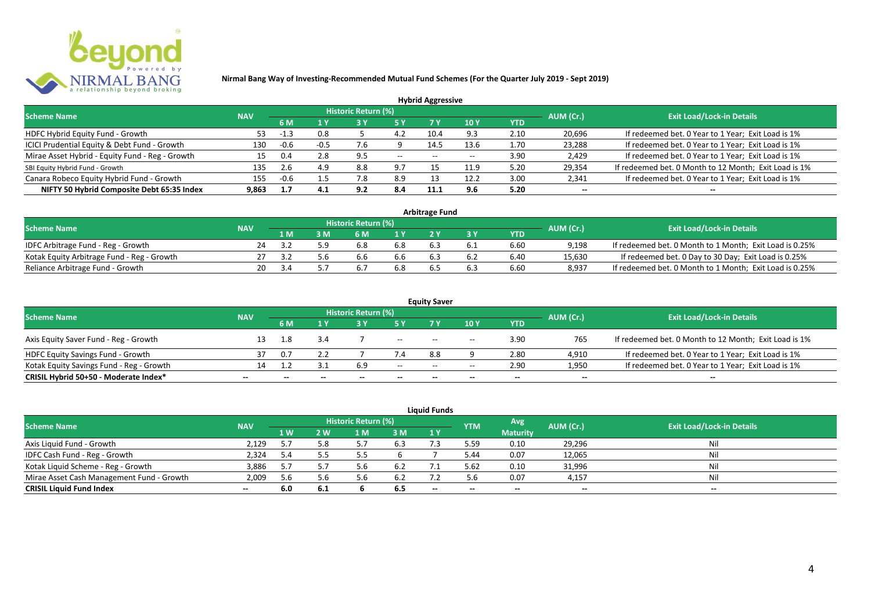

|                                                 |            |        |      |                            |       | <b>Hybrid Aggressive</b> |                 |      |                          |                                                       |
|-------------------------------------------------|------------|--------|------|----------------------------|-------|--------------------------|-----------------|------|--------------------------|-------------------------------------------------------|
| <b>Scheme Name</b>                              | <b>NAV</b> |        |      | <b>Historic Return (%)</b> |       |                          |                 |      | AUM (Cr.)                | <b>Exit Load/Lock-in Details</b>                      |
|                                                 |            | 6 M    | 1 Y  |                            |       |                          | 10 <sub>Y</sub> | YTD  |                          |                                                       |
| HDFC Hybrid Equity Fund - Growth                | 53.        | $-1.3$ | 0.8  |                            | 4.2   | 10.4                     | 9.3             | 2.10 | 20,696                   | If redeemed bet. 0 Year to 1 Year; Exit Load is 1%    |
| ICICI Prudential Equity & Debt Fund - Growth    | 130        | $-0.6$ | -0.5 | .6                         |       | 14.5                     | 13.6            | 1.70 | 23,288                   | If redeemed bet. 0 Year to 1 Year; Exit Load is 1%    |
| Mirae Asset Hybrid - Equity Fund - Reg - Growth | 15         | 0.4    | 2.8  | -9.5                       | $- -$ | $- -$                    |                 | 3.90 | 2,429                    | If redeemed bet. 0 Year to 1 Year; Exit Load is 1%    |
| SBI Equity Hybrid Fund - Growth                 | 135        | 2.6    | 4.9  | 8.8                        | 9.7   |                          | 11.9            | 5.20 | 29,354                   | If redeemed bet. 0 Month to 12 Month; Exit Load is 1% |
| Canara Robeco Equity Hybrid Fund - Growth       | 155        | $-0.6$ | 1.5  | '.8                        | 8.9   |                          | 12.2            | 3.00 | 2,341                    | If redeemed bet. 0 Year to 1 Year; Exit Load is 1%    |
| NIFTY 50 Hybrid Composite Debt 65:35 Index      | 9.863      | 1.7    | 4.1  | 9.2                        | 8.4   | 11.1                     | 9.6             | 5.20 | $\overline{\phantom{a}}$ | $- -$                                                 |

| <b>Arbitrage Fund</b>                      |            |     |  |                     |     |  |     |            |           |                                                         |  |  |  |  |
|--------------------------------------------|------------|-----|--|---------------------|-----|--|-----|------------|-----------|---------------------------------------------------------|--|--|--|--|
| <b>Scheme Name</b>                         | <b>NAV</b> |     |  | Historic Return (%) |     |  |     |            | AUM (Cr.) | <b>Exit Load/Lock-in Details</b>                        |  |  |  |  |
|                                            |            | l M |  | 6 M                 |     |  |     | <b>YTD</b> |           |                                                         |  |  |  |  |
| IDFC Arbitrage Fund - Reg - Growth         | 24         |     |  |                     | 6.8 |  |     | 6.60       | 9.198     | If redeemed bet. 0 Month to 1 Month; Exit Load is 0.25% |  |  |  |  |
| Kotak Equity Arbitrage Fund - Reg - Growth |            | 3.2 |  | b.b                 | b.b |  | 6.2 | 6.40       | 15,630    | If redeemed bet. 0 Day to 30 Day; Exit Load is 0.25%    |  |  |  |  |
| Reliance Arbitrage Fund - Growth           | 20         |     |  |                     | 6.8 |  | 6.3 | 6.60       | 8.937     | If redeemed bet. 0 Month to 1 Month; Exit Load is 0.25% |  |  |  |  |

| <b>Equity Saver</b>                      |                          |     |              |                     |                          |       |                                       |                          |                          |                                                       |  |  |  |  |
|------------------------------------------|--------------------------|-----|--------------|---------------------|--------------------------|-------|---------------------------------------|--------------------------|--------------------------|-------------------------------------------------------|--|--|--|--|
| <b>Scheme Name</b>                       | <b>NAV</b>               |     |              | Historic Return (%) |                          |       |                                       |                          | AUM (Cr.)                | <b>Exit Load/Lock-in Details</b>                      |  |  |  |  |
|                                          |                          | 6 M |              |                     |                          |       | 10 Y                                  | YTD                      |                          |                                                       |  |  |  |  |
| Axis Equity Saver Fund - Reg - Growth    |                          | 1.8 | 3.4          |                     | $--$                     | $- -$ | $\hspace{0.05cm}$ – $\hspace{0.05cm}$ | 3.90                     | 765                      | If redeemed bet. 0 Month to 12 Month; Exit Load is 1% |  |  |  |  |
| <b>HDFC Equity Savings Fund - Growth</b> |                          | 0.7 |              |                     | 4.                       | 8.8   |                                       | 2.80                     | 4,910                    | If redeemed bet. 0 Year to 1 Year; Exit Load is 1%    |  |  |  |  |
| Kotak Equity Savings Fund - Reg - Growth | 1∆                       |     |              | 6.9                 | $- -$                    | $-$   | $\overline{\phantom{a}}$              | 2.90                     | 1,950                    | If redeemed bet. 0 Year to 1 Year; Exit Load is 1%    |  |  |  |  |
| CRISIL Hybrid 50+50 - Moderate Index*    | $\overline{\phantom{a}}$ |     | $\mathbf{m}$ | $\qquad \qquad$     | $\overline{\phantom{a}}$ | $- -$ | $\overline{\phantom{a}}$              | $\overline{\phantom{a}}$ | $\overline{\phantom{a}}$ | $\overline{\phantom{a}}$                              |  |  |  |  |

| <b>Liquid Funds</b>                       |            |      |      |                     |      |       |            |                 |           |                                  |  |  |  |
|-------------------------------------------|------------|------|------|---------------------|------|-------|------------|-----------------|-----------|----------------------------------|--|--|--|
| <b>Scheme Name</b>                        | <b>NAV</b> |      |      | Historic Return (%) |      |       | <b>YTM</b> | Avg             | AUM (Cr.) | <b>Exit Load/Lock-in Details</b> |  |  |  |
|                                           |            | 1 W. | 2 W  | 1 M                 | 3 M  | 1Y    |            | <b>Maturity</b> |           |                                  |  |  |  |
| Axis Liquid Fund - Growth                 | 2,129      |      | 5.8  |                     | 6.3  |       | 5.59       | 0.10            | 29,296    | Nil                              |  |  |  |
| IDFC Cash Fund - Reg - Growth             | 2,324      | 5.4  |      |                     |      |       | 5.44       | 0.07            | 12,065    | Nil                              |  |  |  |
| Kotak Liquid Scheme - Reg - Growth        | 3,886      | 5.7  |      | 5.b                 | -6.2 |       | 5.62       | 0.10            | 31,996    | Nil                              |  |  |  |
| Mirae Asset Cash Management Fund - Growth | 2,009      | 5.6  |      |                     | 6.2  |       | 5.6        | 0.07            | 4,157     | Nil                              |  |  |  |
| <b>CRISIL Liquid Fund Index</b>           | $\sim$     | 6.0  | -6.1 |                     | 6.5  | $- -$ | $- -$      | $- -$           | --        | $- -$                            |  |  |  |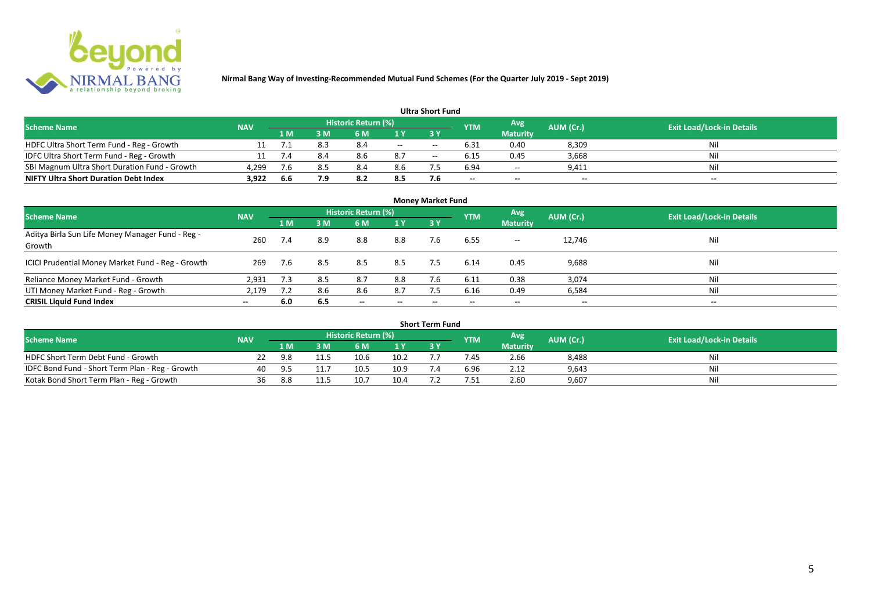

| <b>Ultra Short Fund</b>                       |            |        |     |                            |     |       |                          |                          |           |                                  |  |  |  |
|-----------------------------------------------|------------|--------|-----|----------------------------|-----|-------|--------------------------|--------------------------|-----------|----------------------------------|--|--|--|
| <b>Scheme Name</b>                            | <b>NAV</b> |        |     | <b>Historic Return (%)</b> |     |       | <b>YTM</b>               | Avg                      | AUM (Cr.) | <b>Exit Load/Lock-in Details</b> |  |  |  |
|                                               |            | '1 M . | 3 M | 6 M                        |     |       |                          | <b>Maturity</b>          |           |                                  |  |  |  |
| HDFC Ultra Short Term Fund - Reg - Growth     |            |        | 8.3 | 8.4                        | $-$ | $- -$ | 6.31                     | 0.40                     | 8,309     | Nil                              |  |  |  |
| IDFC Ultra Short Term Fund - Reg - Growth     |            | 7.4    | 8.4 | 8.6                        | 8.7 | $- -$ | 6.15                     | 0.45                     | 3,668     | Nil                              |  |  |  |
| SBI Magnum Ultra Short Duration Fund - Growth | 4,299      | 7.6    |     | 8.4                        | 8.6 |       | 6.94                     | $\overline{\phantom{a}}$ | 9,411     | Nil                              |  |  |  |
| <b>NIFTY Ultra Short Duration Debt Index</b>  | 3,922      | 6.6    | 7.9 | 8.2                        | 8.5 | 7.6   | $\overline{\phantom{a}}$ | $\overline{\phantom{a}}$ | $\sim$    | $- -$                            |  |  |  |

| <b>Money Market Fund</b>                                   |            |     |     |                            |                          |           |            |                 |                          |                                  |  |  |  |
|------------------------------------------------------------|------------|-----|-----|----------------------------|--------------------------|-----------|------------|-----------------|--------------------------|----------------------------------|--|--|--|
| <b>Scheme Name</b>                                         | <b>NAV</b> |     |     | <b>Historic Return (%)</b> |                          |           | <b>YTM</b> | Avg             | AUM (Cr.)                | <b>Exit Load/Lock-in Details</b> |  |  |  |
|                                                            |            | 1 M | 3M  | 6 M                        | 1Y                       | <b>3Y</b> |            | <b>Maturity</b> |                          |                                  |  |  |  |
| Aditya Birla Sun Life Money Manager Fund - Reg -<br>Growth | 260        | 7.4 | 8.9 | 8.8                        | 8.8                      | 7.6       | 6.55       | $- -$           | 12,746                   | Nil                              |  |  |  |
| ICICI Prudential Money Market Fund - Reg - Growth          | 269        | 7.6 | 8.5 | 8.5                        | 8.5                      | 7.5       | 6.14       | 0.45            | 9,688                    | Nil                              |  |  |  |
| Reliance Money Market Fund - Growth                        | 2,931      | 7.3 | 8.5 | 8.7                        | 8.8                      |           | 6.11       | 0.38            | 3,074                    | Nil                              |  |  |  |
| UTI Money Market Fund - Reg - Growth                       | 2,179      | 7.2 | 8.6 | 8.6                        | 8.7                      | 7.5       | 6.16       | 0.49            | 6,584                    | Nil                              |  |  |  |
| <b>CRISIL Liquid Fund Index</b>                            | $- -$      | 6.0 | 6.5 | $\overline{\phantom{a}}$   | $\overline{\phantom{a}}$ | $\!-$     | $\!-$      | $\sim$          | $\overline{\phantom{a}}$ | $\overline{\phantom{a}}$         |  |  |  |

| Short Term Fund                                 |            |     |      |                     |                |  |            |                 |           |                                  |  |  |  |
|-------------------------------------------------|------------|-----|------|---------------------|----------------|--|------------|-----------------|-----------|----------------------------------|--|--|--|
| <b>Scheme Name</b>                              | <b>NAV</b> |     |      | Historic Return (%) |                |  | <b>YTM</b> | <b>Avg</b>      | AUM (Cr.) | <b>Exit Load/Lock-in Details</b> |  |  |  |
|                                                 |            | 1 M |      | 6 M                 | 1 <sub>Y</sub> |  |            | <b>Maturity</b> |           |                                  |  |  |  |
| HDFC Short Term Debt Fund - Growth              |            | 9.8 |      | 10.6                | 10.2           |  | 7.45       | 2.66            | 8,488     | Nil                              |  |  |  |
| IDFC Bond Fund - Short Term Plan - Reg - Growth | 40         | Qς  |      | 10.5                | 10.9           |  | 6.96       | 2.12            | 9,643     | Nil                              |  |  |  |
| Kotak Bond Short Term Plan - Reg - Growth       | 36         | 8.8 | 11.5 | 10.7                | 10.4           |  | '.51       | 2.60            | 9,607     | Nil                              |  |  |  |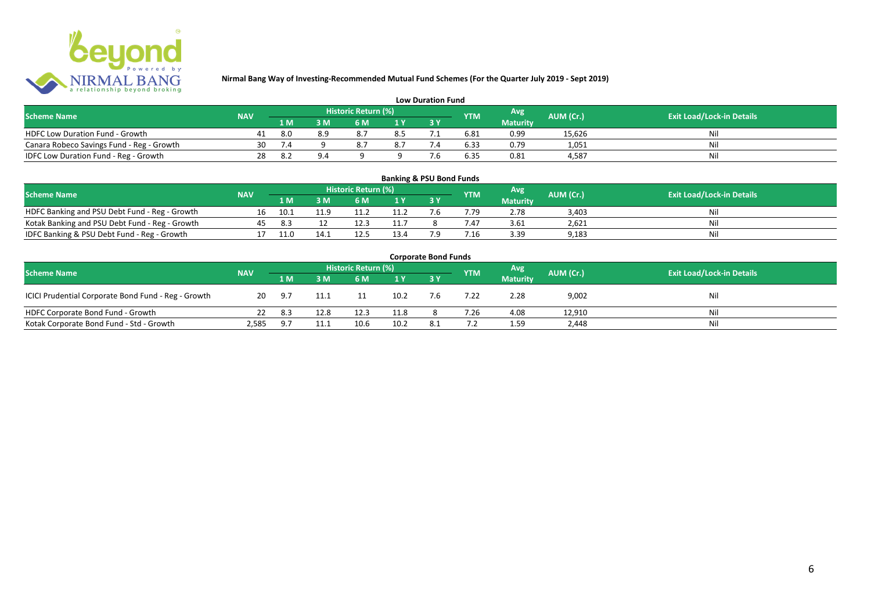

| <b>Low Duration Fund</b>                  |            |                                                       |     |     |     |  |                                  |                 |        |     |  |  |  |  |
|-------------------------------------------|------------|-------------------------------------------------------|-----|-----|-----|--|----------------------------------|-----------------|--------|-----|--|--|--|--|
| <b>Scheme Name</b>                        | <b>NAV</b> | Historic Return (%)<br>Avg<br>AUM (Cr.)<br><b>YTM</b> |     |     |     |  | <b>Exit Load/Lock-in Details</b> |                 |        |     |  |  |  |  |
|                                           |            | 1 M                                                   |     | 6 M |     |  |                                  | <b>Maturity</b> |        |     |  |  |  |  |
| <b>HDFC Low Duration Fund - Growth</b>    | 41         | 8.0                                                   | 8.9 |     | 8.5 |  | 6.81                             | 0.99            | 15,626 | Nli |  |  |  |  |
| Canara Robeco Savings Fund - Reg - Growth | 30         |                                                       |     |     | 8.7 |  | 6.33                             | 0.79            | 1,051  | Ni  |  |  |  |  |
| IDFC Low Duration Fund - Reg - Growth     | 28         |                                                       | 9.4 |     |     |  | 6.35                             | 0.81            | 4.587  | Ni  |  |  |  |  |

# **Banking & PSU Bond Funds**

| <b>Scheme Name</b>                             | <b>NAV</b> |      |      | Historic Return (%) |      |     | <b>YTM</b> | Avg             | AUM (Cr.) | <b>Exit Load/Lock-in Details</b> |
|------------------------------------------------|------------|------|------|---------------------|------|-----|------------|-----------------|-----------|----------------------------------|
|                                                |            | 1 M  | } M  | 6 M                 | 1 V  |     |            | <b>Maturity</b> |           |                                  |
| HDFC Banking and PSU Debt Fund - Reg - Growth  |            | 10.1 |      |                     |      |     |            | 2.78            | 3.403     |                                  |
| Kotak Banking and PSU Debt Fund - Reg - Growth |            | 8.   |      |                     | 11'  |     |            | 3.61            | 2.621     |                                  |
| IDFC Banking & PSU Debt Fund - Reg - Growth    |            |      | 14.1 |                     | 13.4 | 0 ד | 7.16       | 3.39            | 9,183     |                                  |

| <b>Corporate Bond Funds</b>                         |            |     |      |                     |      |     |            |                 |           |                                  |  |  |  |
|-----------------------------------------------------|------------|-----|------|---------------------|------|-----|------------|-----------------|-----------|----------------------------------|--|--|--|
| <b>Scheme Name</b>                                  | <b>NAV</b> |     |      | Historic Return (%) |      |     | <b>YTM</b> | <b>Avg</b>      | AUM (Cr.) | <b>Exit Load/Lock-in Details</b> |  |  |  |
|                                                     |            | 1 M | 3 M  | 6 M                 | 1 Y  |     |            | <b>Maturity</b> |           |                                  |  |  |  |
| ICICI Prudential Corporate Bond Fund - Reg - Growth | 20         | 9.7 | 11.1 | 11                  | 10.2 | 7.6 | 7.22       | 2.28            | 9,002     | Nil                              |  |  |  |
| HDFC Corporate Bond Fund - Growth                   | 22         | 8.3 | 12.8 | 12.3                | 11.8 |     | 7.26       | 4.08            | 12,910    | Nil                              |  |  |  |
| Kotak Corporate Bond Fund - Std - Growth            | 2.585      | 9.7 | 11.1 | 10.6                | 10.2 |     |            | 1.59            | 2,448     | Nil                              |  |  |  |